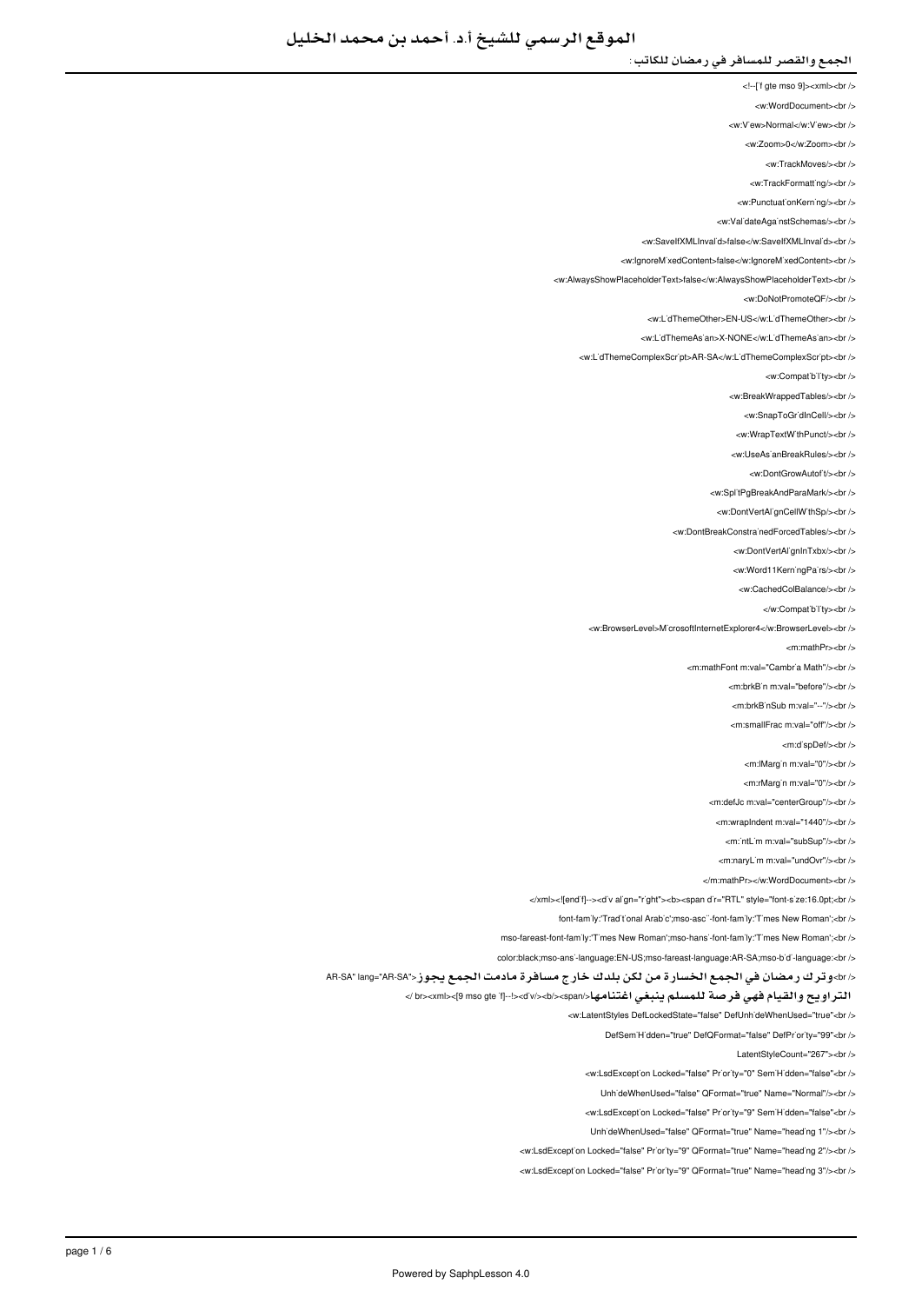- <!--['f gte mso 9]><xml><br/>>br />
- <w:WordDocument><br />
- <w:V'ew>Normal</w:V'ew><br/></w
- <w:Zoom>0</w:Zoom><br/><br/>
	- <w:TrackMoves/><br/><br/>
	- <w:TrackFormatting/>
- <w PunctuationKerning/><br />
- 
- <w:ValidateAgainstSchemas/><br/>
- <w:SaveIfXMLInvalid>false</w:SaveIfXMLInvalid><br/></w </
- <w:lgnoreMixedContent>false</w:lgnoreMixedContent><br />
- <w:AlwaysShowPlaceholderText>false</w:AlwaysShowPlaceholderText><br/><br/>
	- <w:DoNotPromoteQF/><br/><br/>
	- <w:L'dThemeOther>EN-US</w:L'dThemeOther><br />
	- <w:LidThemeAsian>X-NONE</w:LidThemeAsian><ht/></
	- <w:L'dThemeComplexScr'pt>AR-SA</w:L'dThemeComplexScr'pt><br />
		- <w:Compatibility><br/><br/>
			-
		- <w:BreakWrappedTables/><br/><br/>>/>
		- <w:SnapToGr'dInCell/><br/> />
		- <w:WrapTextWithPunct/><br/><br/>
		- </ br></UseAsianBreakRules:w <
			- <w:DontGrowAutof<sub>t</sub>/>t/><br/></br
		- <w:SplitPgBreakAndParaMark/><br />
		-
		- <w:DontVertAl'gnCellW'thSp/><br />
		- <w:DontBreakConstrainedForcedTables/><br />
			- <w:DontVertAlignInTxbx/><br/></br>
			- <w:Word11KerningPairs/><br/><br/>
			- <w:CachedColBalance/s<hr /s
				- </w:Compatibility><br/>->
				-
	- <w:BrowserLevel>MicrosoftInternetExplorer4</w:BrowserLevel><br/></w
		- <m:mathPr><br/>->br />
		- <m:mathFont:m:val="Cambria Math"/s<br/><ht:
			- <m:brkB'n m:val="before"/><br/>>hr>
				- <m:brkB`nSub m:val="--"/><br />
				- <m:smallFrac.m:val="off"/><hr
					- - <m:dispDef/><br/>>>/>
					- <m:lMargin m:val="0"/><br/>>br />
					- <m:rMargin m:val="0"/><br/><br/>b>
			- <m:defJc m:val="centerGroup"/><br />
			- <m:wrapIndent m:val="1440"/><br />
			- -mintlim mival="subSup"/s-br /s
			- <m:naryLim m:yal="undOvr"/><br/><br/>
			-
			- </m:mathPr></w:WordDocument><hr
- </xml><![endif--><d'v align="right"><b><span dir="RTL" style="font-size:16.0pt;<br/><br/>b>
	- font-family:'Traditional Arabic':mso-ascii-font-family:'Times New Romant:<br/><br/>br
- mso-fareast-font-family:'Times New Roman';mso-hansi-font-family:'Times New Roman';<br/>cbr />
- color:black;mso-ansi-language:EN-US;mso-fareast-language:AR-SA;mso-bidi-language:<br/>cbr />
- </br>وترك رمضان في الجمع الخسارة من لكن بلدك خارج مسافرة مادمت الجمع يجوز<"AR-SA AR-SA
	- التراويح والقيام فهي فرصة للمسلم ينبغي اغتنامها</span></b></div!><--]if gte mso 9><[xml><br /<
		- - </w:LatentStyles DefLockedState="false" DefUnhideWhenUsed="true"<br />
				- DefSem'H'dden="true" DefQFormat="false" DefPr'or ty="99"<br />
					- LatentStyleCount="267"><br />
				- <w:LsdException Locked="false" Priority="0" SemiHidden="false"<br/>>ht/>
					- LinhideWhenUsed="false" QFormat="true" Name="Normal"/><ht />
				- <w:LsdException Locked="false" Priority="9" SemiHidden="false"<br/>>ht/>
				- UnhideWhenUsed="false" QFormat="true" Name="heading 1"/><br/>>br
			- <w:LsdException Locked="false" Priority="9" QFormat="true" Name="heading 2"/><br />
			- <w:LsdException Locked="false" Priority="9" QFormat="true" Name="heading 3"/><br/>>htion: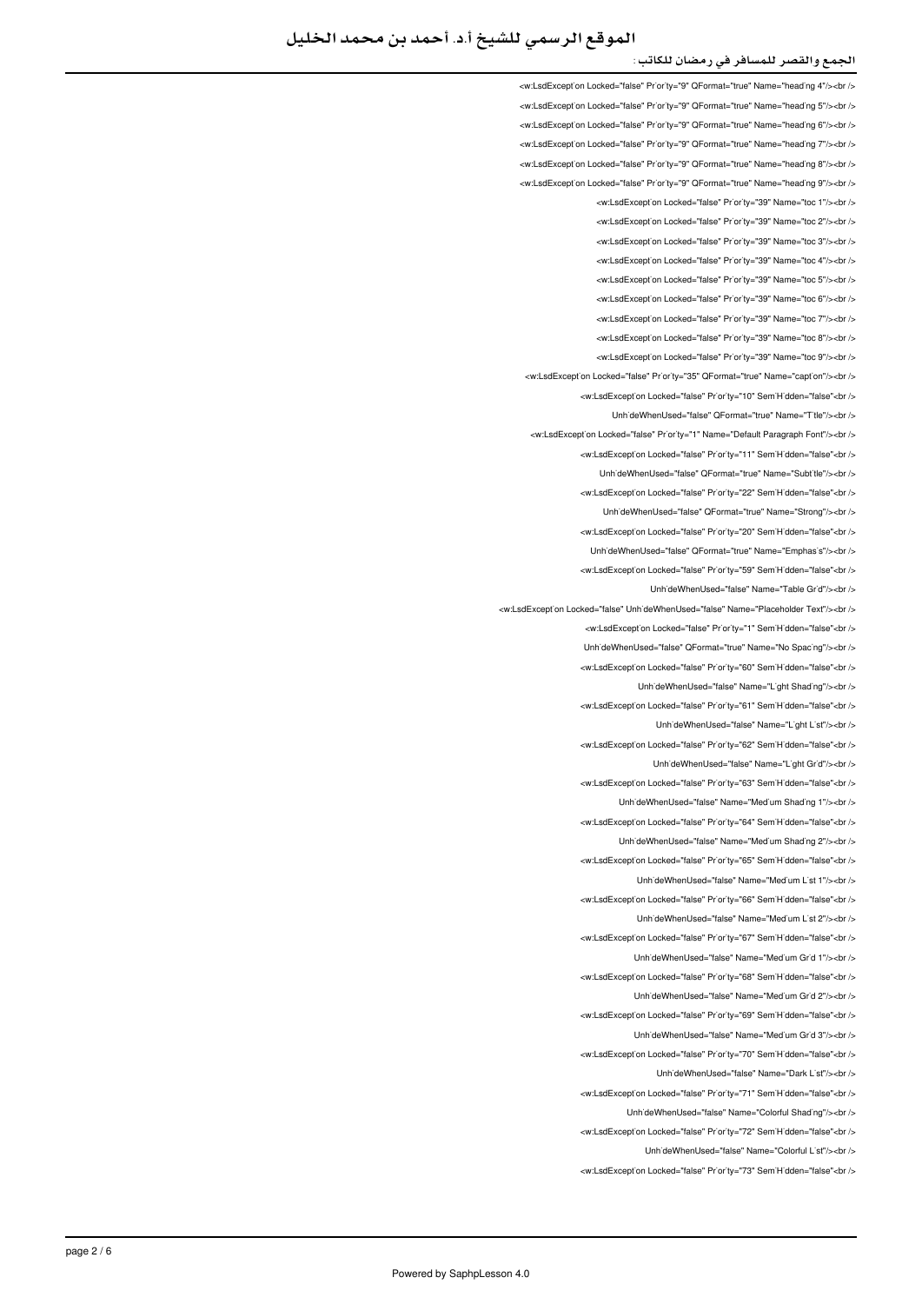<w:LsdException Locked="false" Priority="9" QFormat="true" Name="heading 4"/><br /> <w:LsdException Locked="false" Priority="9" QFormat="true" Name="heading 5"/><br /> </w:LsdException Locked="false" Priority="9" QFormat="true" Name="heading 6"/><br/>>ht </ <w:LsdExcept'on Locked="false" Pr'or'ty="9" QFormat="true" Name="head'ng 7"/><br /> <w:LsdException Locked="false" Priority="9" QFormat="true" Name="heading 8"/><br /> <w:LsdException Locked="false" Priority="9" QEormat="true" Name="beading 9"/><br /> <w:LsdException Locked="false" Priority="39" Name="toc 1"/><br/><ht> <w:LsdException Locked="false" Priority="39" Name="toc 2"/><br/>>htion: <w:LsdException Locked="false" Priority="39" Name="toc.3"/><hr/></ <w:LsdException Locked="false" Priority="39" Name="toc 4"/><br /> <w:LsdException Locked="false" Priority="39" Name="toc 5"/><br/>>htion: <w:LsdException Locked="false" Priority="39" Name="toc 6"/><br /> <w:LsdException Locked="false" Priority="39" Name="toc 7"/><br /> <w:LsdExcept'on Locked="false" Pr'or'ty="39" Name="toc 8"/><br /> <w:LsdException Locked="false" Priority="39" Name="toc 9"/><br /> <w:LsdException Locked="false" Priority="35" QFormat="true" Name="caption"/><br /> <w:LsdException Locked="false" Priority="10" SemiHidden="false"<br /> UnhideWhenUsed="false" QFormat="true" Name="Title"/><br /> <w:LsdExcept'on Locked="false" Pr'or'ty="1" Name="Default Paragraph Font"/><br /> will sdException Locked="false" Priority="11" SemiHidden="false" <ht /s Unh'deWhenUsed="false" QFormat="true" Name="Subt'tle"/><br /> <w:LsdException Locked="false" Priority="22" SemiHidden="false"<br/>chriden Unh'deWhenUsed="false" QFormat="true" Name="Strong"/><br /> <w:LsdException Locked="false" Priority="20" SemiHidden="false"<br/>>htion: Unh'deWhenUsed="false" QFormat="true" Name="Emphas's"/><br /> <w:LsdException Locked="false" Priority="59" SemiHidden="false"<br/>>ht/> UnhideWhenUsed="false" Name="Table Grid"/><br /> <w:l sdException Locked="false" LiphideWhenLised="false" Name="Placeholder Text"/><br /></ <w:LsdException Locked="false" Priority="1" SemiHidden="false"<br/>chriden Unh'deWhenUsed="false" QFormat="true" Name="No Spac'ng"/><br /> <w:LsdException Locked="false" Priority="60" SemiHidden="false"<hr /> UnhideWhenUsed="false" Name="Light Shading"/><br /> <w:LsdException Locked="false" Priority="61" SemiHidden="false"<br/>check UnhideWhenUsed="false" Name="Light List"/><br /> <w:LsdException Locked="false" Priority="62" SemiHidden="false"<br/>chriden Unh'deWhenUsed="false" Name="L'ght Gr'd"/><br /> <w:LsdExcept'on Locked="false" Priority="63" Sem'H'dden="false"<br /> UnhideWhenUsed="false" Name="Medium Shading 1"/><br /> <w:LsdException Locked="false" Priority="64" SemiHidden="false"<br/>kor/> LinhideWhenLised="false" Name="Medium Shading 2"/><hr /> <w:LsdException Locked="false" Priority="65" SemiHidden="false"<br/>chriden LinhideWhenLised="false" Name="Medium List 1"/s<hr /s <w:LsdExcept'on Locked="false" Priority="66" Sem'H'dden="false"<br /> UnhideWhenUsed="false" Name="Medium List 2"/><br /> <w:LsdException Locked="false" Priority="67" SemiHidden="false"<br/>cbr/> UnhideWhenUsed="false" Name="Medium Grid 1"/><br /> <w:LsdException Locked="false" Priority="68" SemiHidden="false"<br/>>ht/> UnhideWhenUsed="false" Name="Medium Grid 2"/><br /> will sdException Locked="false" Priority="69" SemiHidden="false">br / UnhideWhenUsed="false" Name="Medium Grid 3"/><br /> <w:LsdExcept'on Locked="false" Pr'or'ty="70" Sem'H'dden="false"<br /> UnhideWhenUsed="false" Name="Dark List"/><br /> <w:LsdException Locked="false" Priority="71" SemiHidden="false"<br/>chriden UnhideWhenUsed="false" Name="Colorful Shading"/><br /> <w:LsdException Locked="false" Priority="72" SemiHidden="false"<br/>check Unh'deWhenUsed="false" Name="Colorful L'st"/><br /> <w:LsdException Locked="false" Priority="73" SemiHidden="false"<br/>chr/s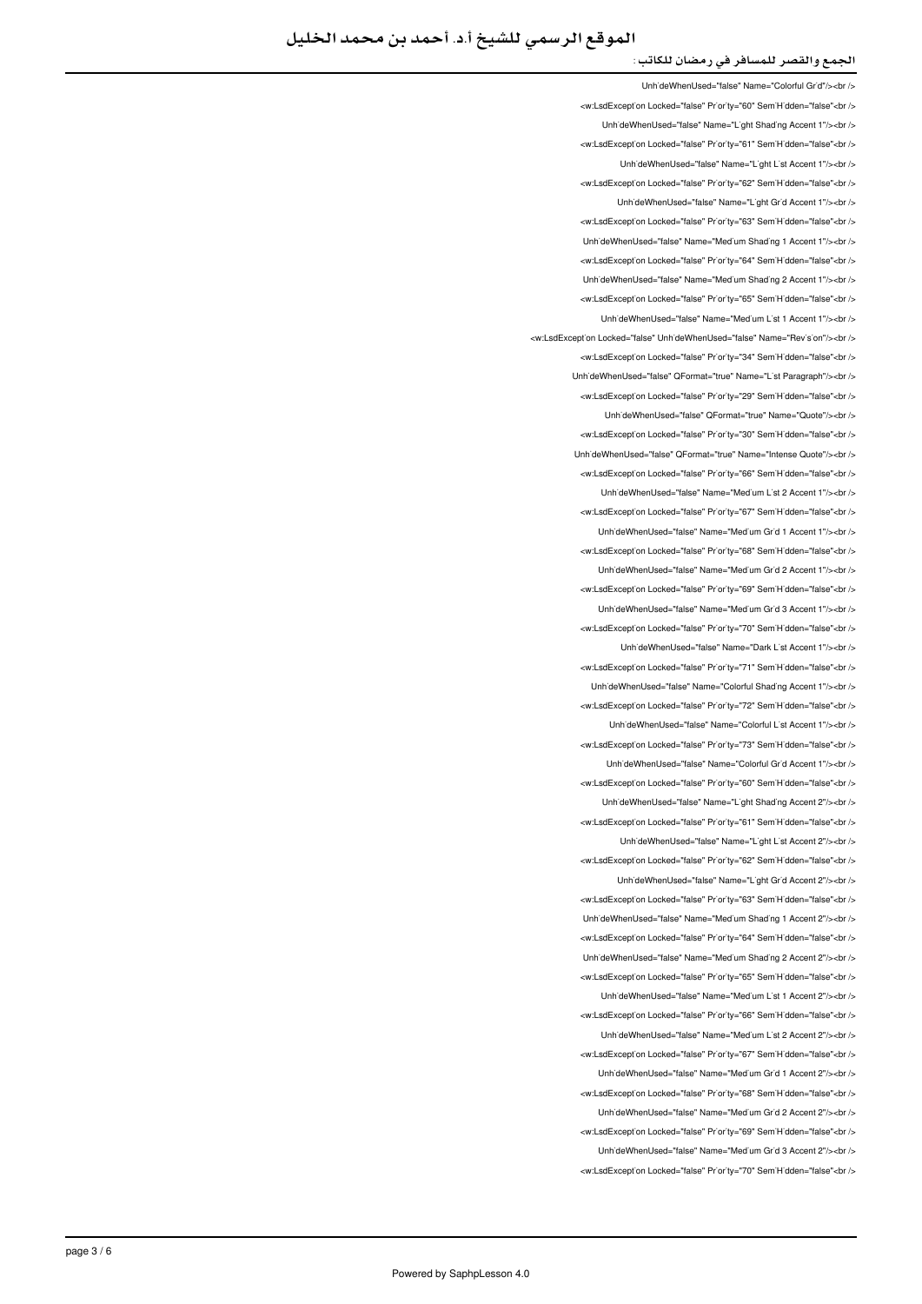UnhideWhenUsed="false" Name="Colorful Grid"/><ht <w:LsdException Locked="false" Priority="60" SemiHidden="false"<br/>child UnhideWhenUsed="false" Name="Light Shading Accent 1"/><br /> <w:LsdException Locked="false" Priority="61" SemiHidden="false"<br/>kor/> UnhideWhenUsed="false" Name="Light List Accent 1"/><br /> <w:LsdException Locked="false" Priority="62" SemiHidden="false"<br/>chri UnhideWhenUsed="false" Name="Light Grid Accent 1"/><br /> <w:LsdExcept'on Locked="false" Priority="63" SemiHidden="false"<br/>>ht /> LinhideWhenLised="false" Name="Medium Shading 1 Accent 1"/s<hr /s <w:LsdException Locked="false" Priority="64" SemiHidden="false"<br /> UnhideWhenUsed="false" Name="Medium Shading 2 Accent 1"/><br/>>br <w:LsdException Locked="false" Priority="65" SemiHidden="false"<br /> UnhideWhenUsed="false" Name="Medium List 1 Accent 1"/><br /> <w:LsdException Locked="false" UnhideWhenUsed="false" Name="Revision"/><br /> <w:LsdExcept'on Locked="false" Pr'or'ty="34" Sem'H'dden="false"<br /> Unh'deWhenUsed="false" QFormat="true" Name="L'st Paragraph"/><br /> <w:LsdException Locked="false" Priority="29" SemiHidden="false"<br/>kor/> Unh'deWhenUsed="false" QFormat="true" Name="Quote"/><br /> <w:LsdException Locked="false" Priority="30" SemiHidden="false"<br /> Linh'deWhenLised="false" OFormat="true" Name="Intense Quote"/>>hr <w:LsdException Locked="false" Priority="66" SemiHidden="false"<br/>>br/> UnhideWhenUsed="false" Name="Medium List 2 Accent 1"/><ht /> <w:LsdException Locked="false" Priority="67" SemiHidden="false"<br/>chi/> UnhideWhenUsed="false" Name="Medium Grid 1 Accent 1"/><br /> <w:LsdException Locked="false" Priority="68" SemiHidden="false"<br/>chi UnhideWhenUsed="false" Name="Medium Grid 2 Accent 1"/><br /> <w:LsdException Locked="false" Priority="69" SemiHidden="false"<br/>>htion </ br></"1 Accent 3 Grid Medium="Name" false="UnhideWhenUsed <w:LsdException Locked="false" Priority="70" SemiHidden="false"<br/>chriden UnhideWhenUsed="false" Name="Dark List Accent 1"/><br /> <w:LsdException Locked="false" Priority="71" SemiHidden="false"<hr /> Unh'deWhenUsed="false" Name="Colorful Shading Accent 1"/><br /> <w:LsdException Locked="false" Priority="72" SemiHidden="false"<br/>>htion: LinhideWhenLised="false" Name="Colorful List Accent 1"/s<hr /s <w:LsdException Locked="false" Priority="73" SemiHidden="false"<br/>chriden UnhideWhenUsed="false" Name="Colorful Grid Accent 1"/><br /> <w:LsdExcept'on Locked="false" Priority="60" Sem'H'dden="false"<br /> UnhideWhenUsed="false" Name="Light Shading Accent 2"/><br /> <w:LsdException Locked="false" Priority="61" SemiHidden="false"<br/>kor/> LinhideWhenLised="false" Name="Light List Accent 2"/><hr /> <w:LsdException Locked="false" Priority="62" SemiHidden="false"<br/>chriden Unh'deWhenUsed="false" Name="L'ght Gr'd Accent 2"/><br /> <w:LsdException Locked="false" Priority="63" SemiHidden="false"<br /> LinhideWhenUsed="false" Name="Medium Shading 1 Accent 2"/><ht /> <w:LsdException Locked="false" Priority="64" SemiHidden="false"<br/>kor/> UnhideWhenUsed="false" Name="Medium Shading 2 Accent 2"/><br /> <w:LsdException Locked="false" Priority="65" SemiHidden="false"<br/>>ht/> Unh'deWhenUsed="false" Name="Med'um L'st 1 Accent 2"/><br /> will sdException Locked="false" Priority="66" SemiHidden="false">br / Unh'deWhenUsed="false" Name="Medium List 2 Accent 2"/><br /> <w:LsdExcept'on Locked="false" Pr'or'ty="67" Sem'H'dden="false"<br /> UnhideWhenUsed="false" Name="Medium Grid 1 Accent 2"/><br /> <w:LsdException Locked="false" Priority="68" SemiHidden="false"<br/>chriden UnhideWhenUsed="false" Name="Medium Grid 2 Accent 2"/><br /> <w:LsdException Locked="false" Priority="69" SemiHidden="false"<br/>check Unh'deWhenUsed="false" Name="Med'um Gr'd 3 Accent 2"/><br /> <w:LsdException Locked="false" Priority="70" SemiHidden="false"<br/>chriden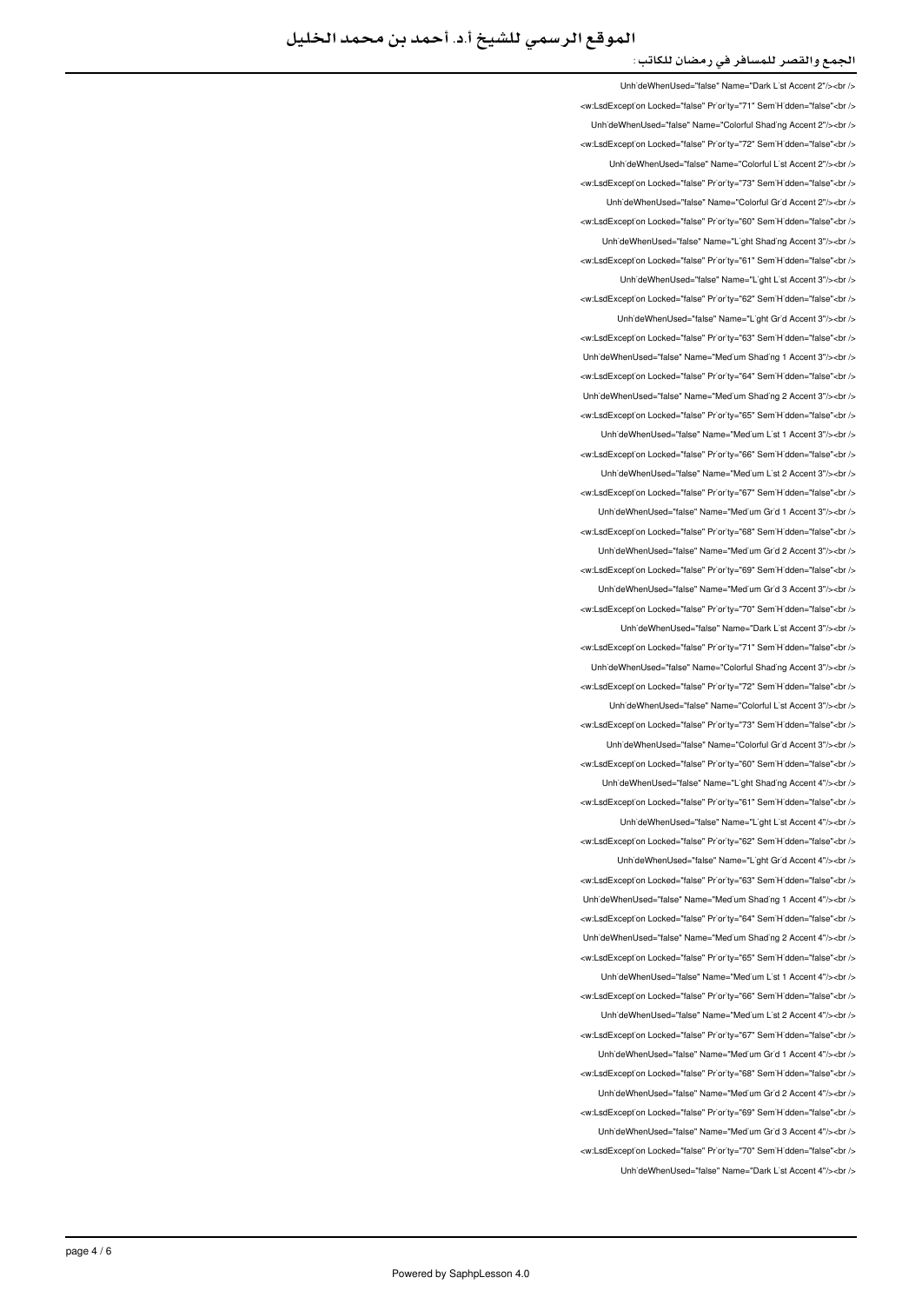Unh'deWhenUsed="false" Name="Dark L'st Accent 2"/><br /> </w:LsdException Locked="false" Priority="71" SemiHidden="false"<br/>chi UnhideWhenUsed="false" Name="Colorful Shading Accent 2"/><br /> <w:LsdException Locked="false" Priority="72" SemiHidden="false"<br/>kor/> UnhideWhenUsed="false" Name="Colorful List Accent 2"/><br /> <w:LsdException Locked="false" Priority="73" SemiHidden="false"<br/>chri LinhideWhenLised="false" Name="Colorful Grid Accent 2"/schr /s <w:LsdException Locked="false" Priority="60" SemiHidden="false"<br/>>htion LinhideWhenLised="false" Name="Light Shading Accent 3"/s<hr /s <w:LsdException Locked="false" Priority="61" SemiHidden="false"<br/>kor/> UnhideWhenUsed="false" Name="Light List Accent 3"/><br /> <w:LsdException Locked="false" Priority="62" SemiHidden="false"<br /> UnhideWhenUsed="false" Name="Light Grid Accent 3"/><ht /> <w:LsdExcept'on Locked="false" Pr'or'ty="63" Sem'H'dden="false"<br /> Unh'deWhenUsed="false" Name="Med'um Shad'ng 1 Accent 3"/><br /> <w:LsdExcept'on Locked="false" Pr'or'ty="64" Sem'H'dden="false"<br /> Unh'deWhenUsed="false" Name="Med'um Shad'ng 2 Accent 3"/><br /> <w:LsdException Locked="false" Priority="65" SemiHidden="false"<br/>>htion: UnhideWhenUsed="false" Name="Medium List 1 Accent 3"/><br /> will sdException Locked="false" Priority="66" SemiHidden="false" chr Unh'deWhenUsed="false" Name="Medium List 2 Accent 3"/><br /> <w:LsdException Locked="false" Priority="67" SemiHidden="false"<br/>chriden Unh'deWhenUsed="false" Name="Med'um Gr'd 1 Accent 3"/><br /> <w:LsdException Locked="false" Priority="68" SemiHidden="false"<br/>>htion: UnhideWhenUsed="false" Name="Medium Grid 2 Accent 3"/><br /> <w:LsdException Locked="false" Priority="69" SemiHidden="false"<br/>>ht/> UnhideWhenUsed="false" Name="Medium Grid 3 Accent 3"/><br /> <w:LsdExcept'on Locked="false" Pr'or'ty="70" Sem'H'dden="false"<br /> LinhideWhenLised="false" Name="Dark List Accent 3"/s<hr /s <w:LsdException Locked="false" Priority="71" SemiHidden="false"<br/>>htion: LinhideWhenUsed="false" Name="Colorful Shading Accent 3"/><hr /> <w:LsdExcept'on Locked="false" Priority="72" Sem'H'dden="false"<br /> Unh'deWhenUsed="false" Name="Colorful L'st Accent 3"/><br /> <w:LsdExcept'on Locked="false" Priority="73" Sem'H'dden="false"<br /> UnhideWhenUsed="false" Name="Colorful Grid Accent 3"/><ht /> <w:LsdException Locked="false" Priority="60" SemiHidden="false"<br/>>htion: Unh'deWhenUsed="false" Name="L'ght Shading Accent 4"/><br /> <w:LsdException Locked="false" Priority="61" SemiHidden="false"<br/>>htion: UnhideWhenUsed="false" Name="Light List Accent 4"/><br /> <w:LsdException Locked="false" Priority="62" SemiHidden="false"<hr /> UnhideWhenUsed="false" Name="Light Grid Accent 4"/><br /> <w:LsdException Locked="false" Priority="63" SemiHidden="false"<br/>>htion: UnhideWhenUsed="false" Name="Medium Shading 1 Accent 4"/><br /> <w:LsdException Locked="false" Priority="64" SemiHidden="false"<br/>chriden Unh'deWhenUsed="false" Name="Med'um Shad'ng 2 Accent 4"/><br /> <w:LsdException Locked="false" Priority="65" SemiHidden="false"<br/>>ht/> UnhideWhenUsed="false" Name="Medium List 1 Accent 4"/><br /> <w:LsdExcept'on Locked="false" Priority="66" Sem'H'dden="false"<br /> LinhideWhenHeed="false" Name="Medium List 2 Accent 4"/schr /s <w:LsdException Locked="false" Priority="67" SemiHidden="false"<br /> UnhideWhenUsed="false" Name="Medium Grid 1 Accent 4"/><br /> <w:LsdException Locked="false" Priority="68" SemiHidden="false"<br/>>ht/> UnhideWhenUsed="false" Name="Medium Grid 2 Accent 4"/><br /> <w:LsdException Locked="false" Priority="69" SemiHidden="false"<br /> LinhideWhenLised="false" Name="Medium Grid 3 Accent 4"/s<hr /s <w:LsdException Locked="false" Priority="70" SemiHidden="false"<br /> UnhideWhenUsed="false" Name="Dark List Accent 4"/><ht />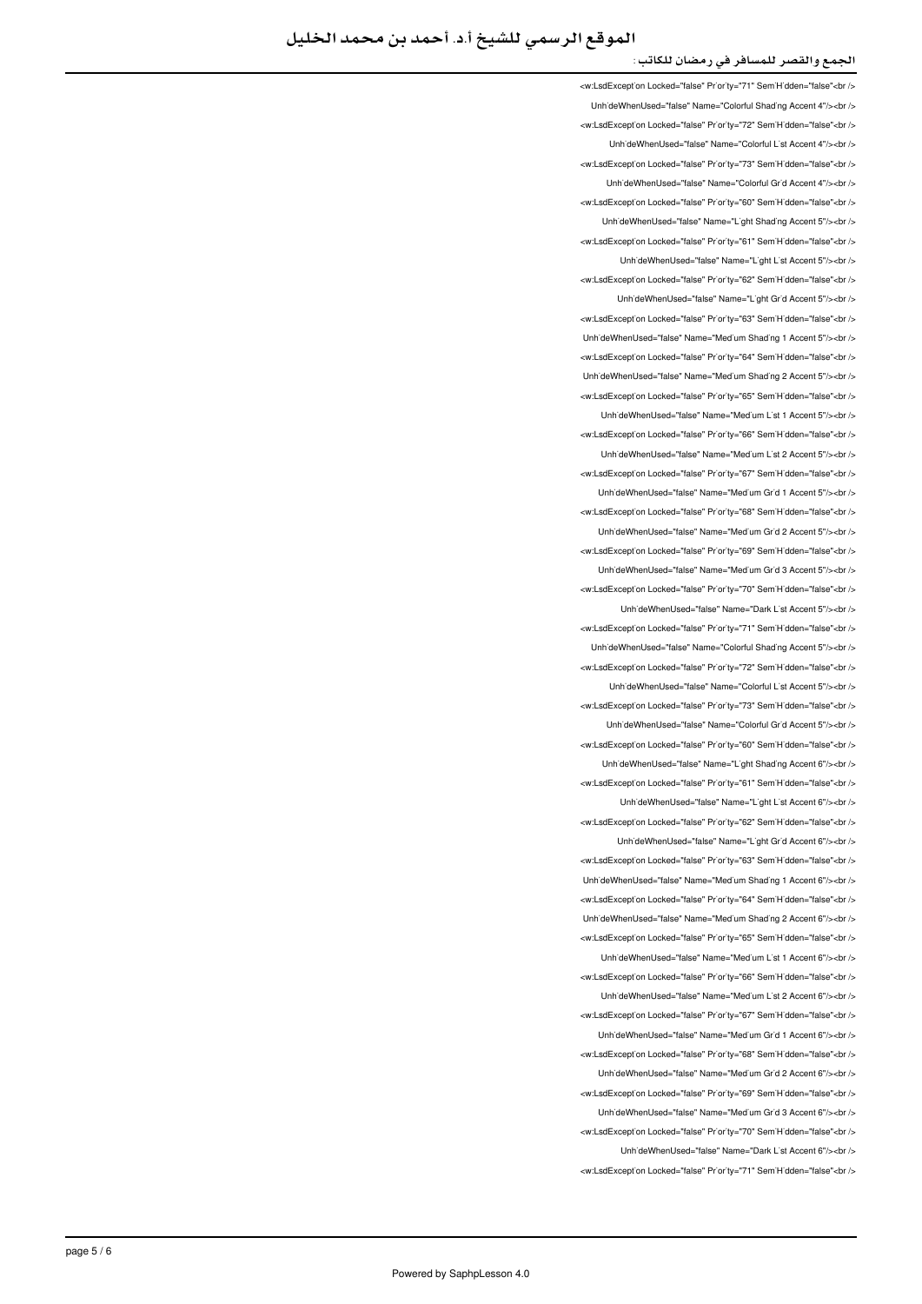<w:LsdException Locked="false" Priority="71" SemiHidden="false"<br /> UnhideWhenUsed="false" Name="Colorful Shading Accent 4"/><br /> <w:LsdException Locked="false" Priority="72" SemiHidden="false"<br/>>ht/> UnhideWhenUsed="false" Name="Colorful List Accent 4"/><br /> <w:LsdExcept'on Locked="false" Priority="73" Sem'H'dden="false"<br /> LinhideWhenLised="false" Name="Colorful Grid Accent 4"/s<hr /s <w:LsdException Locked="false" Priority="60" SemiHidden="false"<br/>chriden Unh'deWhenUsed="false" Name="L'ght Shad'ng Accent 5"/><br /> <w:LsdException Locked="false" Priority="61" SemiHidden="false"<hr /> UnhideWhenUsed="false" Name="Light List Accent 5"/><br /> <w:LsdException Locked="false" Priority="62" SemiHidden="false"<br/>check UnhideWhenUsed="false" Name="Light Grid Accent 5"/><br /> <w:LsdException Locked="false" Priority="63" SemiHidden="false"<br /> Unh'deWhenUsed="false" Name="Med'um Shading 1 Accent 5"/><br /> <w:LsdException Locked="false" Priority="64" SemiHidden="false"<br /> Unh'deWhenUsed="false" Name="Med'um Shad'ng 2 Accent 5"/><br /> <w:LsdExcept'on Locked="false" Pr'or'ty="65" Sem'H'dden="false"<br /> UnhideWhenUsed="false" Name="Medium List 1 Accent 5"/><br /> <w:LsdExcept'on Locked="false" Priority="66" SemiHidden="false"<br/>check LinhideWhenLised="false" Name="Medium List 2 Accent 5"/schr /s <w:LsdException Locked="false" Priority="67" SemiHidden="false"<br /> UnhideWhenUsed="false" Name="Medium Grid 1 Accent 5"/><br /> <w:LsdException Locked="false" Priority="68" SemiHidden="false"<br/>chi/> UnhideWhenUsed="false" Name="Medium Grid 2 Accent 5"/><br /> <w:LsdException Locked="false" Priority="69" SemiHidden="false"<br/>chi UnhideWhenUsed="false" Name="Medium Grid 3 Accent 5"/><br /> <w:LsdException Locked="false" Priority="70" SemiHidden="false"<br/>>htion: LinhideWhenLised="false" Name="Dark List Accent 5"/><hr /> <w:LsdExcept'on Locked="false" Priority="71" Sem'H'dden="false"<hr/> Unh'deWhenUsed="false" Name="Colorful Shading Accent 5"/><br /> <w:LsdException Locked="false" Priority="72" SemiHidden="false"<hr /> Unh'deWhenUsed="false" Name="Colorful L'st Accent 5"/><br /> <w:LsdException Locked="false" Priority="73" SemiHidden="false"<br/>chi LinhideWhenLised="false" Name="Colorful Grid Accent 5"/s<hr /s <w:LsdException Locked="false" Priority="60" SemiHidden="false"<br/>chriden Unh'deWhenUsed="false" Name="L'ght Shading Accent 6"/><br /> <w:LsdExcept'on Locked="false" Priority="61" Sem'H'dden="false"<br /> UnhideWhenUsed="false" Name="Light List Accent 6"/><br /> <w:LsdException Locked="false" Priority="62" SemiHidden="false"<br/>kor/> LinhideWhenUsed="false" Name="Light Grid Accent 6"/><hr /> <w:LsdException Locked="false" Priority="63" SemiHidden="false"<br/>chriden Unh'deWhenUsed="false" Name="Medium Shading 1 Accent 6"/><br /> <w:LsdException Locked="false" Priority="64" SemiHidden="false"<br /> LinhideWhenUsed="false" Name="Medium Shading 2 Accent 6"/><ht /> <w:LsdException Locked="false" Priority="65" SemiHidden="false"<br/>cbr/> UnhideWhenUsed="false" Name="Medium List 1 Accent 6"/><br /> <w:LsdException Locked="false" Priority="66" SemiHidden="false"<br/>>htion: UnhideWhenUsed="false" Name="Medium List 2 Accent 6"/><br /> ∠w:l sdExcention Locked="false" Priority="67" SemiHidden="false"∠hr Unh'deWhenUsed="false" Name="Med'um Gr'd 1 Accent 6"/><br /> <w:LsdExcept'on Locked="false" Pr'or'ty="68" Sem'H'dden="false"<br /> UnhideWhenUsed="false" Name="Medium Grid 2 Accent 6"/><br /> <w:LsdException Locked="false" Priority="69" SemiHidden="false"<br/>chriden UnhideWhenUsed="false" Name="Medium Grid 3 Accent 6"/><br /> <w:LsdException Locked="false" Priority="70" SemiHidden="false"<br/>check UnhideWhenUsed="false" Name="Dark List Accent 6"/><br /> <w:LsdException Locked="false" Priority="71" SemiHidden="false"<br/>>ht/>